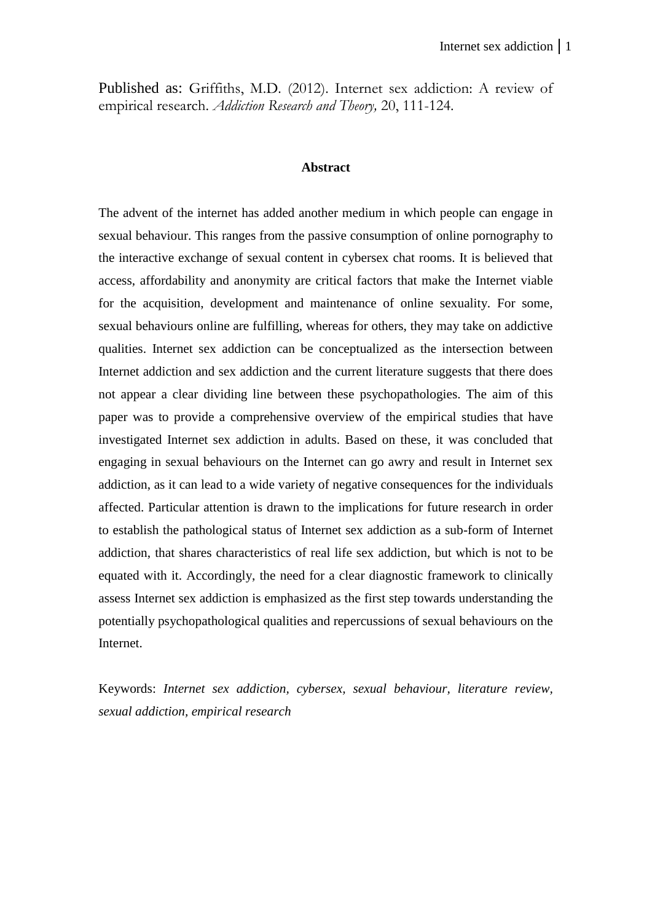Published as: Griffiths, M.D. (2012). Internet sex addiction: A review of empirical research. *Addiction Research and Theory,* 20, 111-124.

#### **Abstract**

The advent of the internet has added another medium in which people can engage in sexual behaviour. This ranges from the passive consumption of online pornography to the interactive exchange of sexual content in cybersex chat rooms. It is believed that access, affordability and anonymity are critical factors that make the Internet viable for the acquisition, development and maintenance of online sexuality. For some, sexual behaviours online are fulfilling, whereas for others, they may take on addictive qualities. Internet sex addiction can be conceptualized as the intersection between Internet addiction and sex addiction and the current literature suggests that there does not appear a clear dividing line between these psychopathologies. The aim of this paper was to provide a comprehensive overview of the empirical studies that have investigated Internet sex addiction in adults. Based on these, it was concluded that engaging in sexual behaviours on the Internet can go awry and result in Internet sex addiction, as it can lead to a wide variety of negative consequences for the individuals affected. Particular attention is drawn to the implications for future research in order to establish the pathological status of Internet sex addiction as a sub-form of Internet addiction, that shares characteristics of real life sex addiction, but which is not to be equated with it. Accordingly, the need for a clear diagnostic framework to clinically assess Internet sex addiction is emphasized as the first step towards understanding the potentially psychopathological qualities and repercussions of sexual behaviours on the Internet.

Keywords: *Internet sex addiction, cybersex, sexual behaviour, literature review, sexual addiction, empirical research*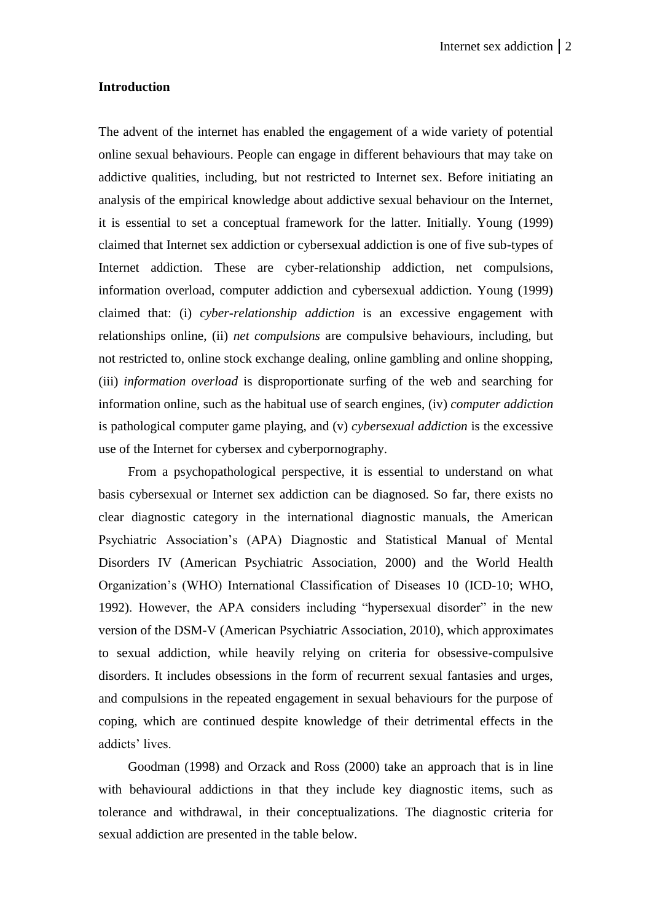#### **Introduction**

The advent of the internet has enabled the engagement of a wide variety of potential online sexual behaviours. People can engage in different behaviours that may take on addictive qualities, including, but not restricted to Internet sex. Before initiating an analysis of the empirical knowledge about addictive sexual behaviour on the Internet, it is essential to set a conceptual framework for the latter. Initially. Young (1999) claimed that Internet sex addiction or cybersexual addiction is one of five sub-types of Internet addiction. These are cyber-relationship addiction, net compulsions, information overload, computer addiction and cybersexual addiction. Young (1999) claimed that: (i) *cyber-relationship addiction* is an excessive engagement with relationships online, (ii) *net compulsions* are compulsive behaviours, including, but not restricted to, online stock exchange dealing, online gambling and online shopping, (iii) *information overload* is disproportionate surfing of the web and searching for information online, such as the habitual use of search engines, (iv) *computer addiction*  is pathological computer game playing, and (v) *cybersexual addiction* is the excessive use of the Internet for cybersex and cyberpornography.

From a psychopathological perspective, it is essential to understand on what basis cybersexual or Internet sex addiction can be diagnosed. So far, there exists no clear diagnostic category in the international diagnostic manuals, the American Psychiatric Association's (APA) Diagnostic and Statistical Manual of Mental Disorders IV (American Psychiatric Association, 2000) and the World Health Organization's (WHO) International Classification of Diseases 10 (ICD-10; WHO, 1992). However, the APA considers including "hypersexual disorder" in the new version of the DSM-V (American Psychiatric Association, 2010), which approximates to sexual addiction, while heavily relying on criteria for obsessive-compulsive disorders. It includes obsessions in the form of recurrent sexual fantasies and urges, and compulsions in the repeated engagement in sexual behaviours for the purpose of coping, which are continued despite knowledge of their detrimental effects in the addicts' lives.

Goodman (1998) and Orzack and Ross (2000) take an approach that is in line with behavioural addictions in that they include key diagnostic items, such as tolerance and withdrawal, in their conceptualizations. The diagnostic criteria for sexual addiction are presented in the table below.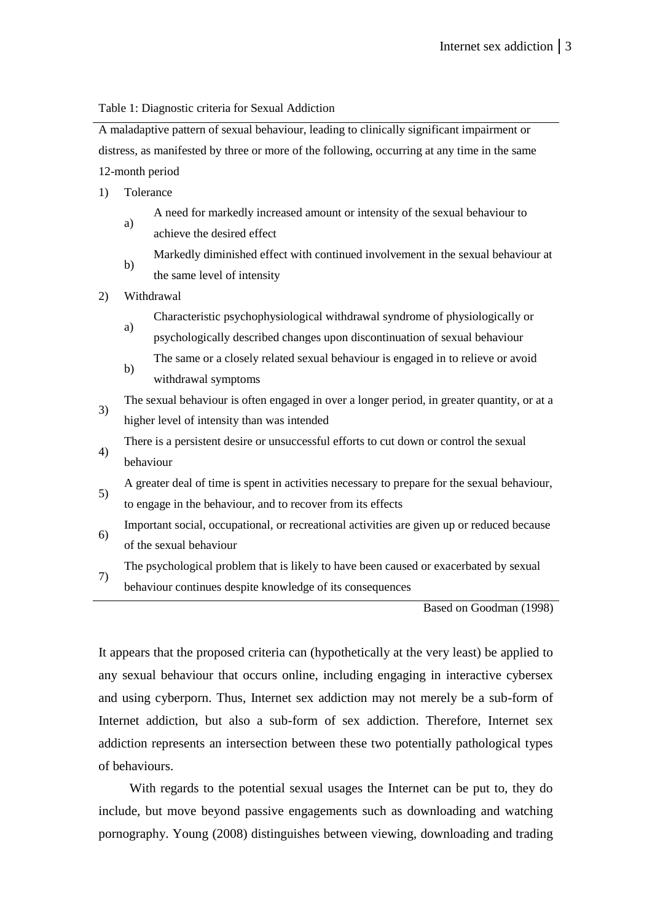Table 1: Diagnostic criteria for Sexual Addiction

A maladaptive pattern of sexual behaviour, leading to clinically significant impairment or distress, as manifested by three or more of the following, occurring at any time in the same 12-month period

- 1) Tolerance
	- a) A need for markedly increased amount or intensity of the sexual behaviour to achieve the desired effect
	- b) Markedly diminished effect with continued involvement in the sexual behaviour at the same level of intensity
- 2) Withdrawal
	- Characteristic psychophysiological withdrawal syndrome of physiologically or
	- a) psychologically described changes upon discontinuation of sexual behaviour b) The same or a closely related sexual behaviour is engaged in to relieve or avoid withdrawal symptoms
- 3) The sexual behaviour is often engaged in over a longer period, in greater quantity, or at a higher level of intensity than was intended
- 4) There is a persistent desire or unsuccessful efforts to cut down or control the sexual behaviour
- 5) A greater deal of time is spent in activities necessary to prepare for the sexual behaviour, to engage in the behaviour, and to recover from its effects
- 6) Important social, occupational, or recreational activities are given up or reduced because of the sexual behaviour
- 7) The psychological problem that is likely to have been caused or exacerbated by sexual behaviour continues despite knowledge of its consequences

Based on Goodman (1998)

It appears that the proposed criteria can (hypothetically at the very least) be applied to any sexual behaviour that occurs online, including engaging in interactive cybersex and using cyberporn. Thus, Internet sex addiction may not merely be a sub-form of Internet addiction, but also a sub-form of sex addiction. Therefore, Internet sex addiction represents an intersection between these two potentially pathological types of behaviours.

With regards to the potential sexual usages the Internet can be put to, they do include, but move beyond passive engagements such as downloading and watching pornography. Young (2008) distinguishes between viewing, downloading and trading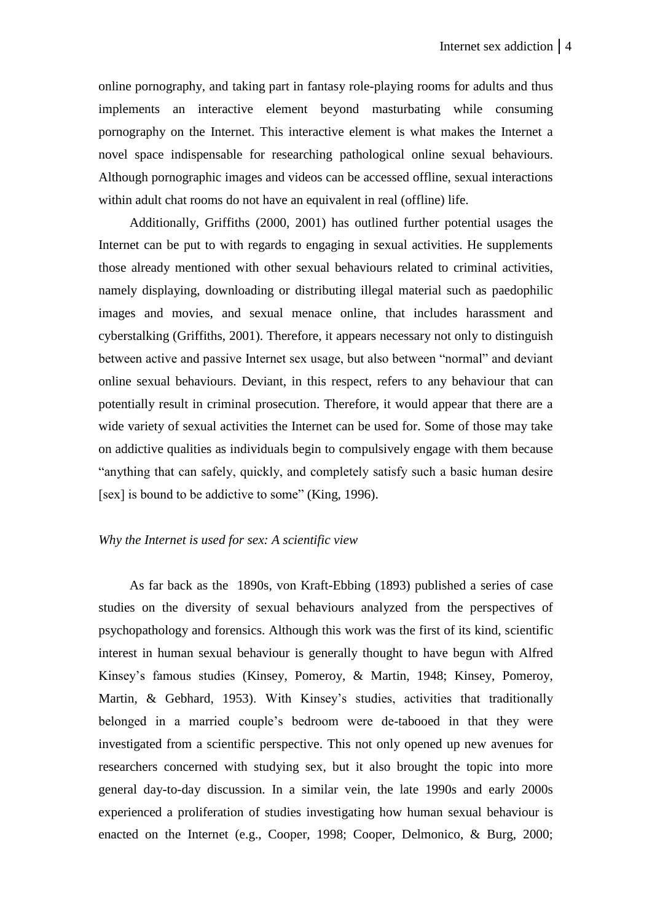online pornography, and taking part in fantasy role-playing rooms for adults and thus implements an interactive element beyond masturbating while consuming pornography on the Internet. This interactive element is what makes the Internet a novel space indispensable for researching pathological online sexual behaviours. Although pornographic images and videos can be accessed offline, sexual interactions within adult chat rooms do not have an equivalent in real (offline) life.

Additionally, Griffiths (2000, 2001) has outlined further potential usages the Internet can be put to with regards to engaging in sexual activities. He supplements those already mentioned with other sexual behaviours related to criminal activities, namely displaying, downloading or distributing illegal material such as paedophilic images and movies, and sexual menace online, that includes harassment and cyberstalking (Griffiths, 2001). Therefore, it appears necessary not only to distinguish between active and passive Internet sex usage, but also between "normal" and deviant online sexual behaviours. Deviant, in this respect, refers to any behaviour that can potentially result in criminal prosecution. Therefore, it would appear that there are a wide variety of sexual activities the Internet can be used for. Some of those may take on addictive qualities as individuals begin to compulsively engage with them because "anything that can safely, quickly, and completely satisfy such a basic human desire [sex] is bound to be addictive to some" (King, 1996).

# *Why the Internet is used for sex: A scientific view*

As far back as the 1890s, von Kraft-Ebbing (1893) published a series of case studies on the diversity of sexual behaviours analyzed from the perspectives of psychopathology and forensics. Although this work was the first of its kind, scientific interest in human sexual behaviour is generally thought to have begun with Alfred Kinsey's famous studies (Kinsey, Pomeroy, & Martin, 1948; Kinsey, Pomeroy, Martin, & Gebhard, 1953). With Kinsey's studies, activities that traditionally belonged in a married couple's bedroom were de-tabooed in that they were investigated from a scientific perspective. This not only opened up new avenues for researchers concerned with studying sex, but it also brought the topic into more general day-to-day discussion. In a similar vein, the late 1990s and early 2000s experienced a proliferation of studies investigating how human sexual behaviour is enacted on the Internet (e.g., Cooper, 1998; Cooper, Delmonico, & Burg, 2000;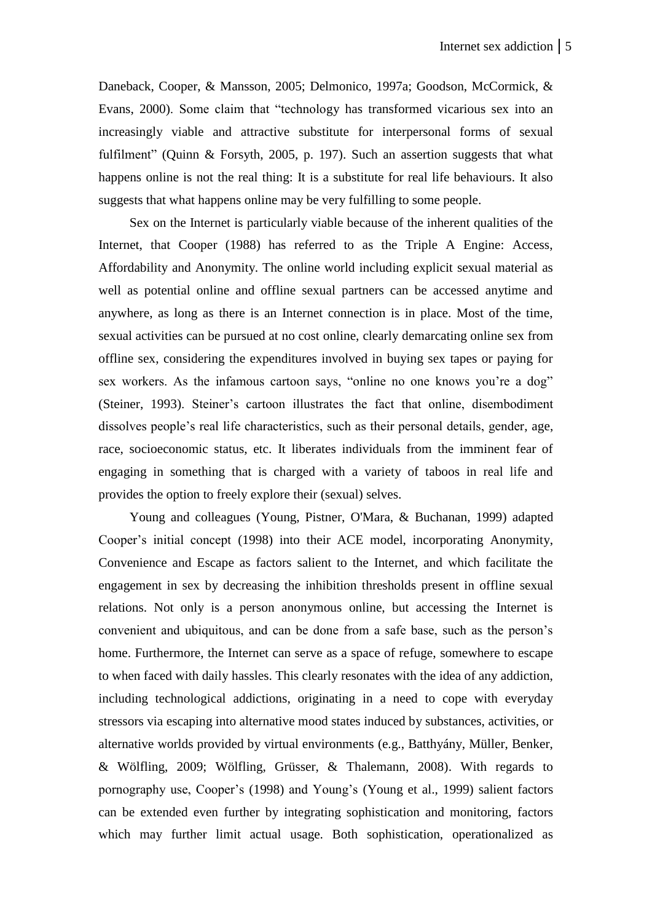Daneback, Cooper, & Mansson, 2005; Delmonico, 1997a; Goodson, McCormick, & Evans, 2000). Some claim that "technology has transformed vicarious sex into an increasingly viable and attractive substitute for interpersonal forms of sexual fulfilment" (Quinn & Forsyth, 2005, p. 197). Such an assertion suggests that what happens online is not the real thing: It is a substitute for real life behaviours. It also suggests that what happens online may be very fulfilling to some people.

Sex on the Internet is particularly viable because of the inherent qualities of the Internet, that Cooper (1988) has referred to as the Triple A Engine: Access, Affordability and Anonymity. The online world including explicit sexual material as well as potential online and offline sexual partners can be accessed anytime and anywhere, as long as there is an Internet connection is in place. Most of the time, sexual activities can be pursued at no cost online, clearly demarcating online sex from offline sex, considering the expenditures involved in buying sex tapes or paying for sex workers. As the infamous cartoon says, "online no one knows you're a dog" (Steiner, 1993). Steiner's cartoon illustrates the fact that online, disembodiment dissolves people's real life characteristics, such as their personal details, gender, age, race, socioeconomic status, etc. It liberates individuals from the imminent fear of engaging in something that is charged with a variety of taboos in real life and provides the option to freely explore their (sexual) selves.

Young and colleagues (Young, Pistner, O'Mara, & Buchanan, 1999) adapted Cooper's initial concept (1998) into their ACE model, incorporating Anonymity, Convenience and Escape as factors salient to the Internet, and which facilitate the engagement in sex by decreasing the inhibition thresholds present in offline sexual relations. Not only is a person anonymous online, but accessing the Internet is convenient and ubiquitous, and can be done from a safe base, such as the person's home. Furthermore, the Internet can serve as a space of refuge, somewhere to escape to when faced with daily hassles. This clearly resonates with the idea of any addiction, including technological addictions, originating in a need to cope with everyday stressors via escaping into alternative mood states induced by substances, activities, or alternative worlds provided by virtual environments (e.g., Batthyány, Müller, Benker, & Wölfling, 2009; Wölfling, Grüsser, & Thalemann, 2008). With regards to pornography use, Cooper's (1998) and Young's (Young et al., 1999) salient factors can be extended even further by integrating sophistication and monitoring, factors which may further limit actual usage. Both sophistication, operationalized as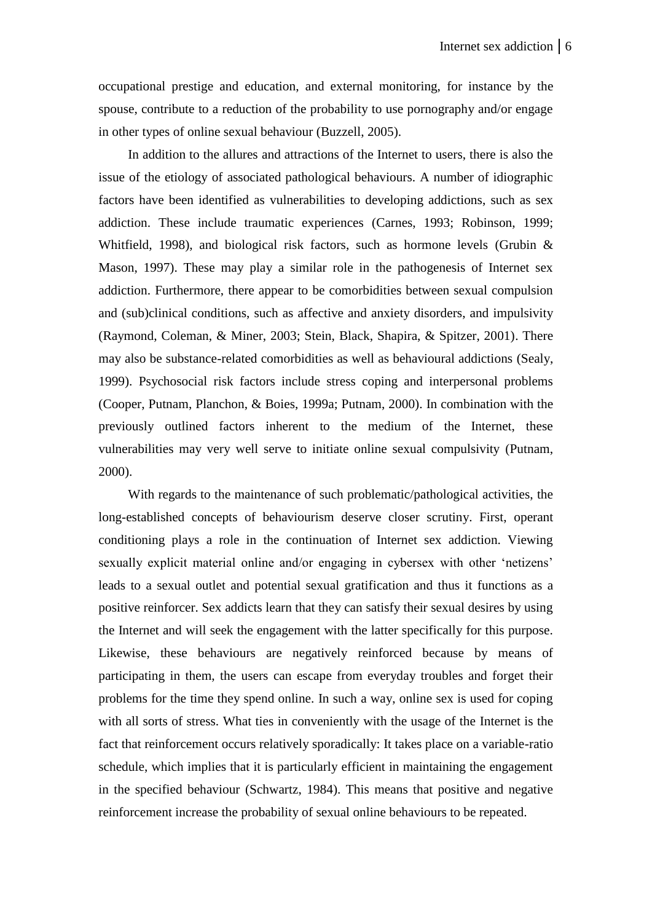occupational prestige and education, and external monitoring, for instance by the spouse, contribute to a reduction of the probability to use pornography and/or engage in other types of online sexual behaviour (Buzzell, 2005).

In addition to the allures and attractions of the Internet to users, there is also the issue of the etiology of associated pathological behaviours. A number of idiographic factors have been identified as vulnerabilities to developing addictions, such as sex addiction. These include traumatic experiences (Carnes, 1993; Robinson, 1999; Whitfield, 1998), and biological risk factors, such as hormone levels (Grubin & Mason, 1997). These may play a similar role in the pathogenesis of Internet sex addiction. Furthermore, there appear to be comorbidities between sexual compulsion and (sub)clinical conditions, such as affective and anxiety disorders, and impulsivity (Raymond, Coleman, & Miner, 2003; Stein, Black, Shapira, & Spitzer, 2001). There may also be substance-related comorbidities as well as behavioural addictions (Sealy, 1999). Psychosocial risk factors include stress coping and interpersonal problems (Cooper, Putnam, Planchon, & Boies, 1999a; Putnam, 2000). In combination with the previously outlined factors inherent to the medium of the Internet, these vulnerabilities may very well serve to initiate online sexual compulsivity (Putnam, 2000).

With regards to the maintenance of such problematic/pathological activities, the long-established concepts of behaviourism deserve closer scrutiny. First, operant conditioning plays a role in the continuation of Internet sex addiction. Viewing sexually explicit material online and/or engaging in cybersex with other 'netizens' leads to a sexual outlet and potential sexual gratification and thus it functions as a positive reinforcer. Sex addicts learn that they can satisfy their sexual desires by using the Internet and will seek the engagement with the latter specifically for this purpose. Likewise, these behaviours are negatively reinforced because by means of participating in them, the users can escape from everyday troubles and forget their problems for the time they spend online. In such a way, online sex is used for coping with all sorts of stress. What ties in conveniently with the usage of the Internet is the fact that reinforcement occurs relatively sporadically: It takes place on a variable-ratio schedule, which implies that it is particularly efficient in maintaining the engagement in the specified behaviour (Schwartz, 1984). This means that positive and negative reinforcement increase the probability of sexual online behaviours to be repeated.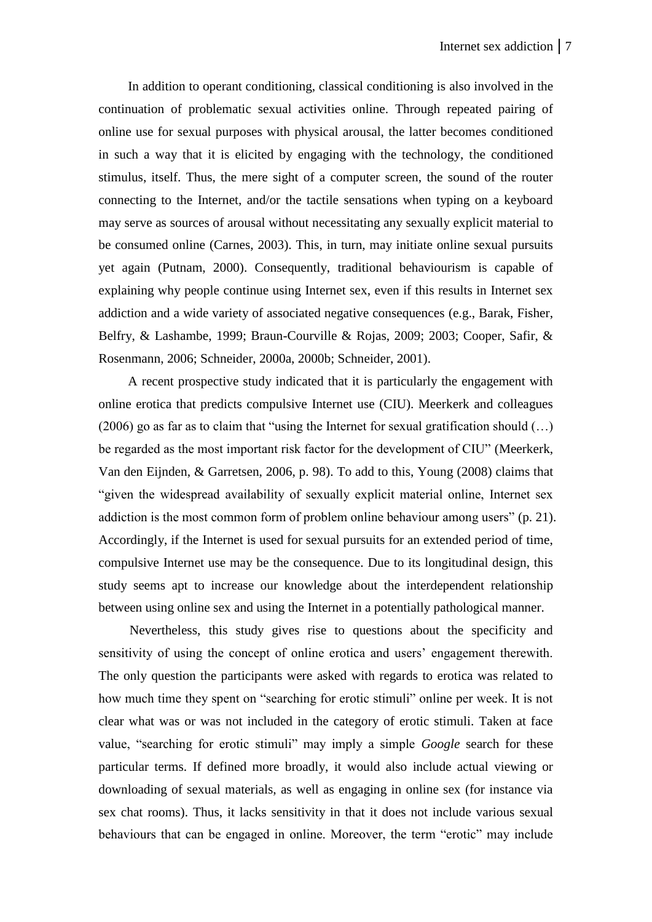In addition to operant conditioning, classical conditioning is also involved in the continuation of problematic sexual activities online. Through repeated pairing of online use for sexual purposes with physical arousal, the latter becomes conditioned in such a way that it is elicited by engaging with the technology, the conditioned stimulus, itself. Thus, the mere sight of a computer screen, the sound of the router connecting to the Internet, and/or the tactile sensations when typing on a keyboard may serve as sources of arousal without necessitating any sexually explicit material to be consumed online (Carnes, 2003). This, in turn, may initiate online sexual pursuits yet again (Putnam, 2000). Consequently, traditional behaviourism is capable of explaining why people continue using Internet sex, even if this results in Internet sex addiction and a wide variety of associated negative consequences (e.g., Barak, Fisher, Belfry, & Lashambe, 1999; Braun-Courville & Rojas, 2009; 2003; Cooper, Safir, & Rosenmann, 2006; Schneider, 2000a, 2000b; Schneider, 2001).

A recent prospective study indicated that it is particularly the engagement with online erotica that predicts compulsive Internet use (CIU). Meerkerk and colleagues (2006) go as far as to claim that "using the Internet for sexual gratification should (…) be regarded as the most important risk factor for the development of CIU" (Meerkerk, Van den Eijnden, & Garretsen, 2006, p. 98). To add to this, Young (2008) claims that "given the widespread availability of sexually explicit material online, Internet sex addiction is the most common form of problem online behaviour among users" (p. 21). Accordingly, if the Internet is used for sexual pursuits for an extended period of time, compulsive Internet use may be the consequence. Due to its longitudinal design, this study seems apt to increase our knowledge about the interdependent relationship between using online sex and using the Internet in a potentially pathological manner.

Nevertheless, this study gives rise to questions about the specificity and sensitivity of using the concept of online erotica and users' engagement therewith. The only question the participants were asked with regards to erotica was related to how much time they spent on "searching for erotic stimuli" online per week. It is not clear what was or was not included in the category of erotic stimuli. Taken at face value, "searching for erotic stimuli" may imply a simple *Google* search for these particular terms. If defined more broadly, it would also include actual viewing or downloading of sexual materials, as well as engaging in online sex (for instance via sex chat rooms). Thus, it lacks sensitivity in that it does not include various sexual behaviours that can be engaged in online. Moreover, the term "erotic" may include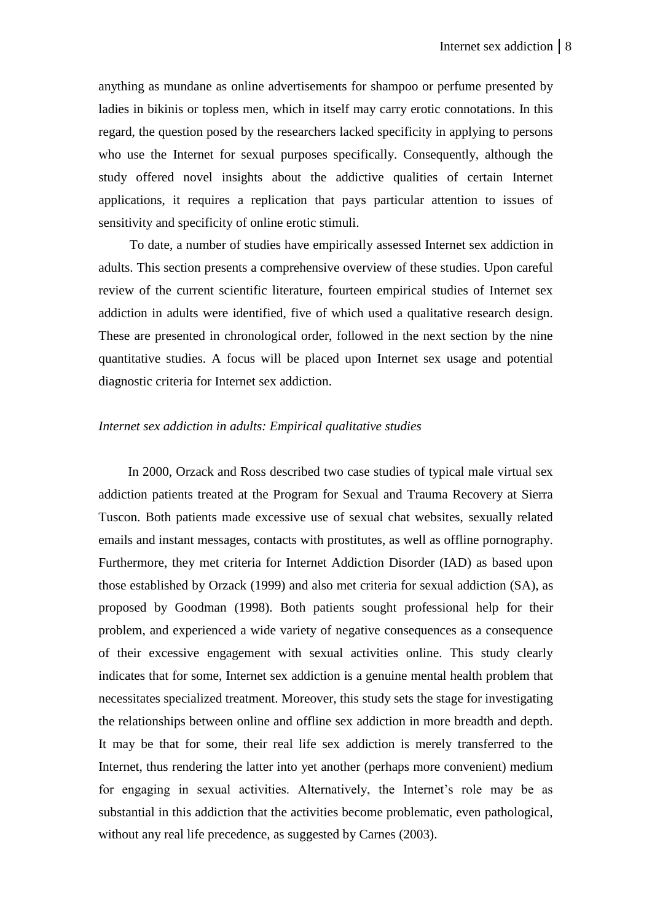anything as mundane as online advertisements for shampoo or perfume presented by ladies in bikinis or topless men, which in itself may carry erotic connotations. In this regard, the question posed by the researchers lacked specificity in applying to persons who use the Internet for sexual purposes specifically. Consequently, although the study offered novel insights about the addictive qualities of certain Internet applications, it requires a replication that pays particular attention to issues of sensitivity and specificity of online erotic stimuli.

To date, a number of studies have empirically assessed Internet sex addiction in adults. This section presents a comprehensive overview of these studies. Upon careful review of the current scientific literature, fourteen empirical studies of Internet sex addiction in adults were identified, five of which used a qualitative research design. These are presented in chronological order, followed in the next section by the nine quantitative studies. A focus will be placed upon Internet sex usage and potential diagnostic criteria for Internet sex addiction.

## *Internet sex addiction in adults: Empirical qualitative studies*

In 2000, Orzack and Ross described two case studies of typical male virtual sex addiction patients treated at the Program for Sexual and Trauma Recovery at Sierra Tuscon. Both patients made excessive use of sexual chat websites, sexually related emails and instant messages, contacts with prostitutes, as well as offline pornography. Furthermore, they met criteria for Internet Addiction Disorder (IAD) as based upon those established by Orzack (1999) and also met criteria for sexual addiction (SA), as proposed by Goodman (1998). Both patients sought professional help for their problem, and experienced a wide variety of negative consequences as a consequence of their excessive engagement with sexual activities online. This study clearly indicates that for some, Internet sex addiction is a genuine mental health problem that necessitates specialized treatment. Moreover, this study sets the stage for investigating the relationships between online and offline sex addiction in more breadth and depth. It may be that for some, their real life sex addiction is merely transferred to the Internet, thus rendering the latter into yet another (perhaps more convenient) medium for engaging in sexual activities. Alternatively, the Internet's role may be as substantial in this addiction that the activities become problematic, even pathological, without any real life precedence, as suggested by Carnes (2003).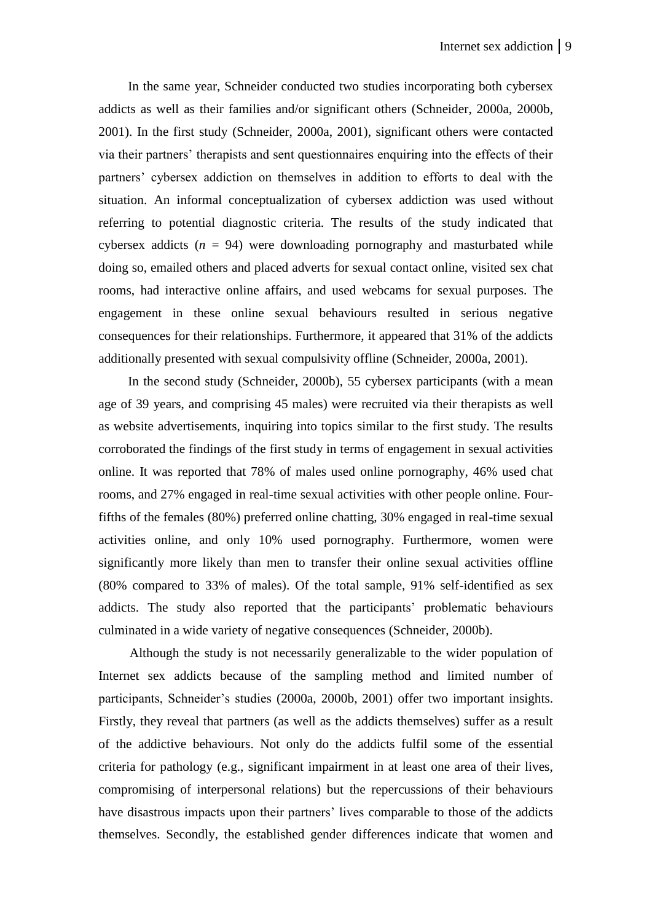In the same year, Schneider conducted two studies incorporating both cybersex addicts as well as their families and/or significant others (Schneider, 2000a, 2000b, 2001). In the first study (Schneider, 2000a, 2001), significant others were contacted via their partners' therapists and sent questionnaires enquiring into the effects of their partners' cybersex addiction on themselves in addition to efforts to deal with the situation. An informal conceptualization of cybersex addiction was used without referring to potential diagnostic criteria. The results of the study indicated that cybersex addicts  $(n = 94)$  were downloading pornography and masturbated while doing so, emailed others and placed adverts for sexual contact online, visited sex chat rooms, had interactive online affairs, and used webcams for sexual purposes. The engagement in these online sexual behaviours resulted in serious negative consequences for their relationships. Furthermore, it appeared that 31% of the addicts additionally presented with sexual compulsivity offline (Schneider, 2000a, 2001).

In the second study (Schneider, 2000b), 55 cybersex participants (with a mean age of 39 years, and comprising 45 males) were recruited via their therapists as well as website advertisements, inquiring into topics similar to the first study. The results corroborated the findings of the first study in terms of engagement in sexual activities online. It was reported that 78% of males used online pornography, 46% used chat rooms, and 27% engaged in real-time sexual activities with other people online. Fourfifths of the females (80%) preferred online chatting, 30% engaged in real-time sexual activities online, and only 10% used pornography. Furthermore, women were significantly more likely than men to transfer their online sexual activities offline (80% compared to 33% of males). Of the total sample, 91% self-identified as sex addicts. The study also reported that the participants' problematic behaviours culminated in a wide variety of negative consequences (Schneider, 2000b).

Although the study is not necessarily generalizable to the wider population of Internet sex addicts because of the sampling method and limited number of participants, Schneider's studies (2000a, 2000b, 2001) offer two important insights. Firstly, they reveal that partners (as well as the addicts themselves) suffer as a result of the addictive behaviours. Not only do the addicts fulfil some of the essential criteria for pathology (e.g., significant impairment in at least one area of their lives, compromising of interpersonal relations) but the repercussions of their behaviours have disastrous impacts upon their partners' lives comparable to those of the addicts themselves. Secondly, the established gender differences indicate that women and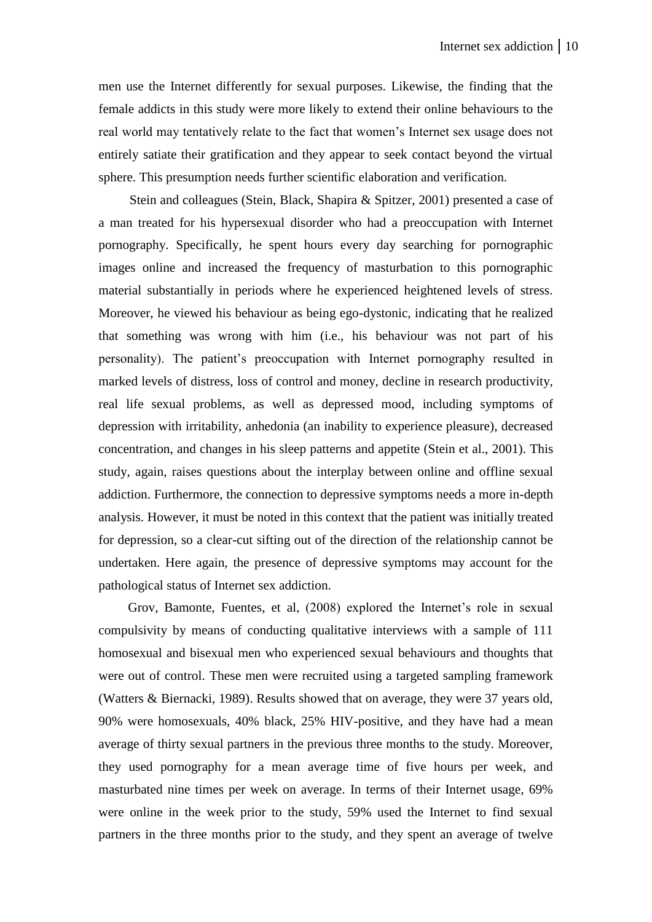men use the Internet differently for sexual purposes. Likewise, the finding that the female addicts in this study were more likely to extend their online behaviours to the real world may tentatively relate to the fact that women's Internet sex usage does not entirely satiate their gratification and they appear to seek contact beyond the virtual sphere. This presumption needs further scientific elaboration and verification.

Stein and colleagues (Stein, Black, Shapira & Spitzer, 2001) presented a case of a man treated for his hypersexual disorder who had a preoccupation with Internet pornography. Specifically, he spent hours every day searching for pornographic images online and increased the frequency of masturbation to this pornographic material substantially in periods where he experienced heightened levels of stress. Moreover, he viewed his behaviour as being ego-dystonic, indicating that he realized that something was wrong with him (i.e., his behaviour was not part of his personality). The patient's preoccupation with Internet pornography resulted in marked levels of distress, loss of control and money, decline in research productivity, real life sexual problems, as well as depressed mood, including symptoms of depression with irritability, anhedonia (an inability to experience pleasure), decreased concentration, and changes in his sleep patterns and appetite (Stein et al., 2001). This study, again, raises questions about the interplay between online and offline sexual addiction. Furthermore, the connection to depressive symptoms needs a more in-depth analysis. However, it must be noted in this context that the patient was initially treated for depression, so a clear-cut sifting out of the direction of the relationship cannot be undertaken. Here again, the presence of depressive symptoms may account for the pathological status of Internet sex addiction.

Grov, Bamonte, Fuentes, et al, (2008) explored the Internet's role in sexual compulsivity by means of conducting qualitative interviews with a sample of 111 homosexual and bisexual men who experienced sexual behaviours and thoughts that were out of control. These men were recruited using a targeted sampling framework (Watters & Biernacki, 1989). Results showed that on average, they were 37 years old, 90% were homosexuals, 40% black, 25% HIV-positive, and they have had a mean average of thirty sexual partners in the previous three months to the study. Moreover, they used pornography for a mean average time of five hours per week, and masturbated nine times per week on average. In terms of their Internet usage, 69% were online in the week prior to the study, 59% used the Internet to find sexual partners in the three months prior to the study, and they spent an average of twelve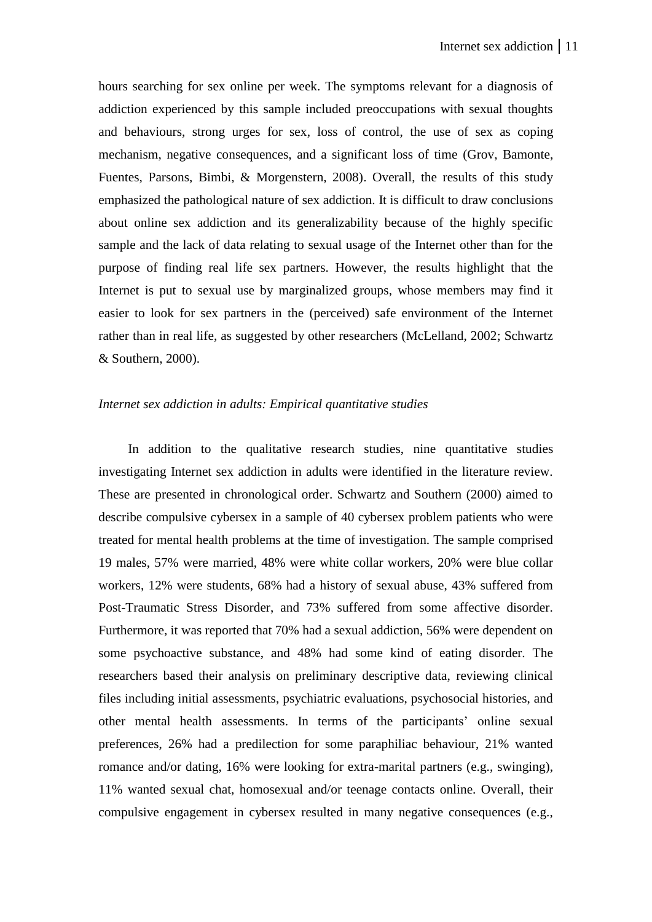hours searching for sex online per week. The symptoms relevant for a diagnosis of addiction experienced by this sample included preoccupations with sexual thoughts and behaviours, strong urges for sex, loss of control, the use of sex as coping mechanism, negative consequences, and a significant loss of time (Grov, Bamonte, Fuentes, Parsons, Bimbi, & Morgenstern, 2008). Overall, the results of this study emphasized the pathological nature of sex addiction. It is difficult to draw conclusions about online sex addiction and its generalizability because of the highly specific sample and the lack of data relating to sexual usage of the Internet other than for the purpose of finding real life sex partners. However, the results highlight that the Internet is put to sexual use by marginalized groups, whose members may find it easier to look for sex partners in the (perceived) safe environment of the Internet rather than in real life, as suggested by other researchers (McLelland, 2002; Schwartz & Southern, 2000).

## *Internet sex addiction in adults: Empirical quantitative studies*

In addition to the qualitative research studies, nine quantitative studies investigating Internet sex addiction in adults were identified in the literature review. These are presented in chronological order. Schwartz and Southern (2000) aimed to describe compulsive cybersex in a sample of 40 cybersex problem patients who were treated for mental health problems at the time of investigation. The sample comprised 19 males, 57% were married, 48% were white collar workers, 20% were blue collar workers, 12% were students, 68% had a history of sexual abuse, 43% suffered from Post-Traumatic Stress Disorder, and 73% suffered from some affective disorder. Furthermore, it was reported that 70% had a sexual addiction, 56% were dependent on some psychoactive substance, and 48% had some kind of eating disorder. The researchers based their analysis on preliminary descriptive data, reviewing clinical files including initial assessments, psychiatric evaluations, psychosocial histories, and other mental health assessments. In terms of the participants' online sexual preferences, 26% had a predilection for some paraphiliac behaviour, 21% wanted romance and/or dating, 16% were looking for extra-marital partners (e.g., swinging), 11% wanted sexual chat, homosexual and/or teenage contacts online. Overall, their compulsive engagement in cybersex resulted in many negative consequences (e.g.,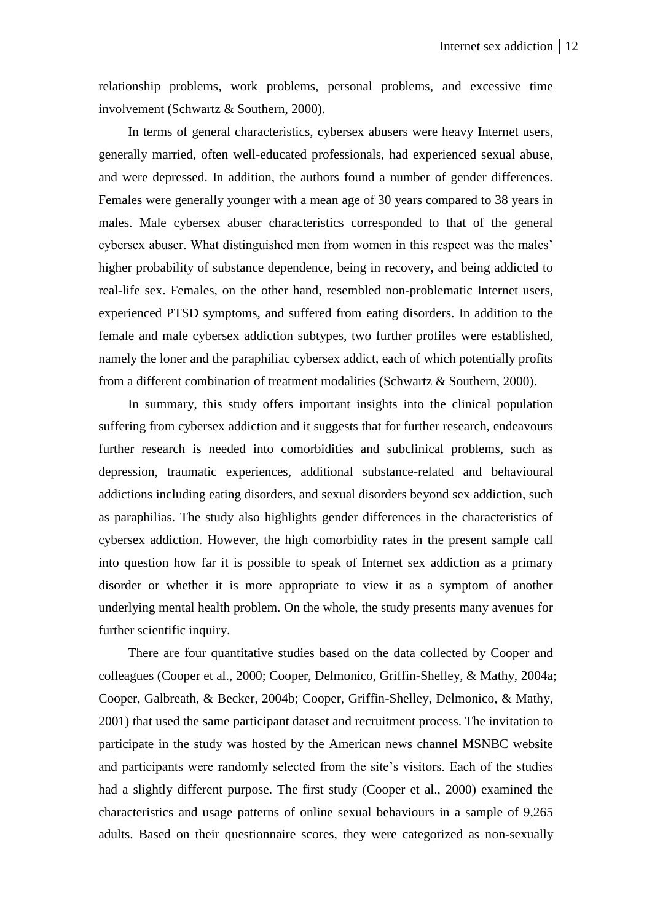relationship problems, work problems, personal problems, and excessive time involvement (Schwartz & Southern, 2000).

In terms of general characteristics, cybersex abusers were heavy Internet users, generally married, often well-educated professionals, had experienced sexual abuse, and were depressed. In addition, the authors found a number of gender differences. Females were generally younger with a mean age of 30 years compared to 38 years in males. Male cybersex abuser characteristics corresponded to that of the general cybersex abuser. What distinguished men from women in this respect was the males' higher probability of substance dependence, being in recovery, and being addicted to real-life sex. Females, on the other hand, resembled non-problematic Internet users, experienced PTSD symptoms, and suffered from eating disorders. In addition to the female and male cybersex addiction subtypes, two further profiles were established, namely the loner and the paraphiliac cybersex addict, each of which potentially profits from a different combination of treatment modalities (Schwartz & Southern, 2000).

In summary, this study offers important insights into the clinical population suffering from cybersex addiction and it suggests that for further research, endeavours further research is needed into comorbidities and subclinical problems, such as depression, traumatic experiences, additional substance-related and behavioural addictions including eating disorders, and sexual disorders beyond sex addiction, such as paraphilias. The study also highlights gender differences in the characteristics of cybersex addiction. However, the high comorbidity rates in the present sample call into question how far it is possible to speak of Internet sex addiction as a primary disorder or whether it is more appropriate to view it as a symptom of another underlying mental health problem. On the whole, the study presents many avenues for further scientific inquiry.

There are four quantitative studies based on the data collected by Cooper and colleagues (Cooper et al., 2000; Cooper, Delmonico, Griffin-Shelley, & Mathy, 2004a; Cooper, Galbreath, & Becker, 2004b; Cooper, Griffin-Shelley, Delmonico, & Mathy, 2001) that used the same participant dataset and recruitment process. The invitation to participate in the study was hosted by the American news channel MSNBC website and participants were randomly selected from the site's visitors. Each of the studies had a slightly different purpose. The first study (Cooper et al., 2000) examined the characteristics and usage patterns of online sexual behaviours in a sample of 9,265 adults. Based on their questionnaire scores, they were categorized as non-sexually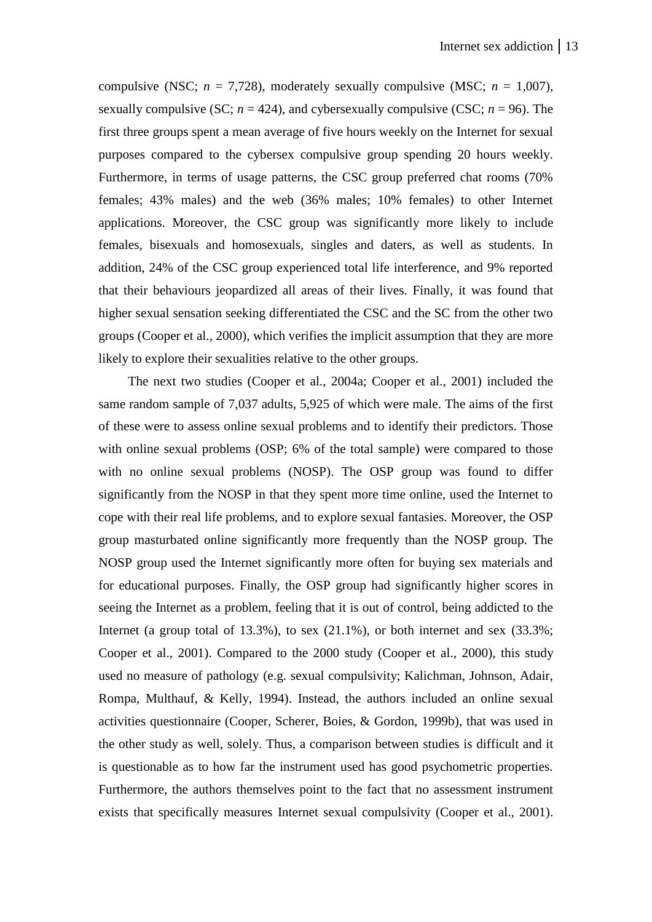compulsive (NSC;  $n = 7,728$ ), moderately sexually compulsive (MSC;  $n = 1,007$ ), sexually compulsive (SC;  $n = 424$ ), and cybersexually compulsive (CSC;  $n = 96$ ). The first three groups spent a mean average of five hours weekly on the Internet for sexual purposes compared to the cybersex compulsive group spending 20 hours weekly. Furthermore, in terms of usage patterns, the CSC group preferred chat rooms (70% females; 43% males) and the web (36% males; 10% females) to other Internet applications. Moreover, the CSC group was significantly more likely to include females, bisexuals and homosexuals, singles and daters, as well as students. In addition, 24% of the CSC group experienced total life interference, and 9% reported that their behaviours jeopardized all areas of their lives. Finally, it was found that higher sexual sensation seeking differentiated the CSC and the SC from the other two groups (Cooper et al., 2000), which verifies the implicit assumption that they are more likely to explore their sexualities relative to the other groups.

The next two studies (Cooper et al., 2004a; Cooper et al., 2001) included the same random sample of 7,037 adults, 5,925 of which were male. The aims of the first of these were to assess online sexual problems and to identify their predictors. Those with online sexual problems (OSP; 6% of the total sample) were compared to those with no online sexual problems (NOSP). The OSP group was found to differ significantly from the NOSP in that they spent more time online, used the Internet to cope with their real life problems, and to explore sexual fantasies. Moreover, the OSP group masturbated online significantly more frequently than the NOSP group. The NOSP group used the Internet significantly more often for buying sex materials and for educational purposes. Finally, the OSP group had significantly higher scores in seeing the Internet as a problem, feeling that it is out of control, being addicted to the Internet (a group total of  $13.3\%$ ), to sex  $(21.1\%)$ , or both internet and sex  $(33.3\%$ ; Cooper et al., 2001). Compared to the 2000 study (Cooper et al., 2000), this study used no measure of pathology (e.g. sexual compulsivity; Kalichman, Johnson, Adair, Rompa, Multhauf, & Kelly, 1994). Instead, the authors included an online sexual activities questionnaire (Cooper, Scherer, Boies, & Gordon, 1999b), that was used in the other study as well, solely. Thus, a comparison between studies is difficult and it is questionable as to how far the instrument used has good psychometric properties. Furthermore, the authors themselves point to the fact that no assessment instrument exists that specifically measures Internet sexual compulsivity (Cooper et al., 2001).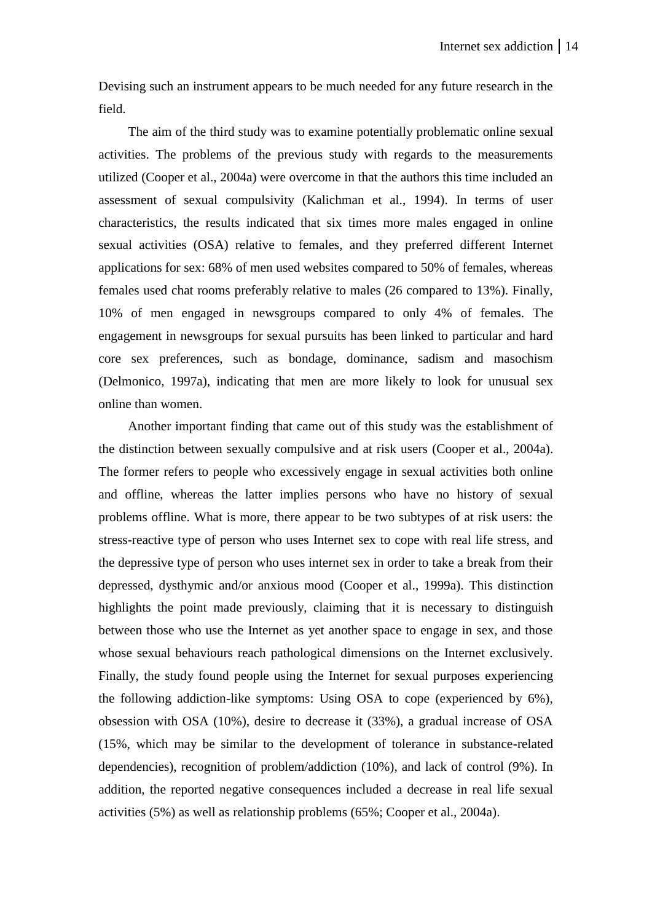Devising such an instrument appears to be much needed for any future research in the field.

The aim of the third study was to examine potentially problematic online sexual activities. The problems of the previous study with regards to the measurements utilized (Cooper et al., 2004a) were overcome in that the authors this time included an assessment of sexual compulsivity (Kalichman et al., 1994). In terms of user characteristics, the results indicated that six times more males engaged in online sexual activities (OSA) relative to females, and they preferred different Internet applications for sex: 68% of men used websites compared to 50% of females, whereas females used chat rooms preferably relative to males (26 compared to 13%). Finally, 10% of men engaged in newsgroups compared to only 4% of females. The engagement in newsgroups for sexual pursuits has been linked to particular and hard core sex preferences, such as bondage, dominance, sadism and masochism (Delmonico, 1997a), indicating that men are more likely to look for unusual sex online than women.

Another important finding that came out of this study was the establishment of the distinction between sexually compulsive and at risk users (Cooper et al., 2004a). The former refers to people who excessively engage in sexual activities both online and offline, whereas the latter implies persons who have no history of sexual problems offline. What is more, there appear to be two subtypes of at risk users: the stress-reactive type of person who uses Internet sex to cope with real life stress, and the depressive type of person who uses internet sex in order to take a break from their depressed, dysthymic and/or anxious mood (Cooper et al., 1999a). This distinction highlights the point made previously, claiming that it is necessary to distinguish between those who use the Internet as yet another space to engage in sex, and those whose sexual behaviours reach pathological dimensions on the Internet exclusively. Finally, the study found people using the Internet for sexual purposes experiencing the following addiction-like symptoms: Using OSA to cope (experienced by 6%), obsession with OSA (10%), desire to decrease it (33%), a gradual increase of OSA (15%, which may be similar to the development of tolerance in substance-related dependencies), recognition of problem/addiction (10%), and lack of control (9%). In addition, the reported negative consequences included a decrease in real life sexual activities (5%) as well as relationship problems (65%; Cooper et al., 2004a).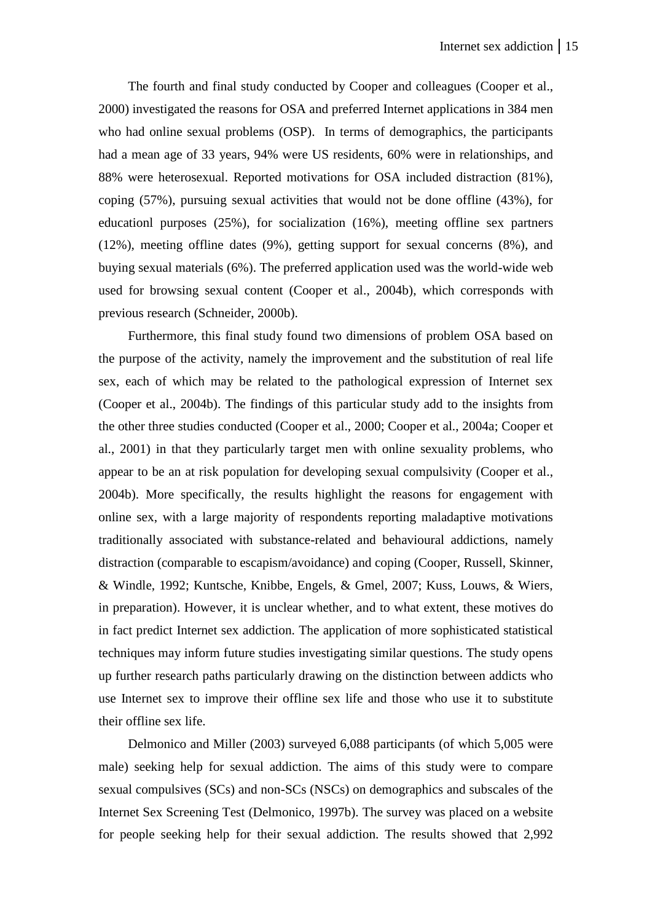The fourth and final study conducted by Cooper and colleagues (Cooper et al., 2000) investigated the reasons for OSA and preferred Internet applications in 384 men who had online sexual problems (OSP). In terms of demographics, the participants had a mean age of 33 years, 94% were US residents, 60% were in relationships, and 88% were heterosexual. Reported motivations for OSA included distraction (81%), coping (57%), pursuing sexual activities that would not be done offline (43%), for educationl purposes (25%), for socialization (16%), meeting offline sex partners (12%), meeting offline dates (9%), getting support for sexual concerns (8%), and buying sexual materials (6%). The preferred application used was the world-wide web used for browsing sexual content (Cooper et al., 2004b), which corresponds with previous research (Schneider, 2000b).

Furthermore, this final study found two dimensions of problem OSA based on the purpose of the activity, namely the improvement and the substitution of real life sex, each of which may be related to the pathological expression of Internet sex (Cooper et al., 2004b). The findings of this particular study add to the insights from the other three studies conducted (Cooper et al., 2000; Cooper et al., 2004a; Cooper et al., 2001) in that they particularly target men with online sexuality problems, who appear to be an at risk population for developing sexual compulsivity (Cooper et al., 2004b). More specifically, the results highlight the reasons for engagement with online sex, with a large majority of respondents reporting maladaptive motivations traditionally associated with substance-related and behavioural addictions, namely distraction (comparable to escapism/avoidance) and coping (Cooper, Russell, Skinner, & Windle, 1992; Kuntsche, Knibbe, Engels, & Gmel, 2007; Kuss, Louws, & Wiers, in preparation). However, it is unclear whether, and to what extent, these motives do in fact predict Internet sex addiction. The application of more sophisticated statistical techniques may inform future studies investigating similar questions. The study opens up further research paths particularly drawing on the distinction between addicts who use Internet sex to improve their offline sex life and those who use it to substitute their offline sex life.

Delmonico and Miller (2003) surveyed 6,088 participants (of which 5,005 were male) seeking help for sexual addiction. The aims of this study were to compare sexual compulsives (SCs) and non-SCs (NSCs) on demographics and subscales of the Internet Sex Screening Test (Delmonico, 1997b). The survey was placed on a website for people seeking help for their sexual addiction. The results showed that 2,992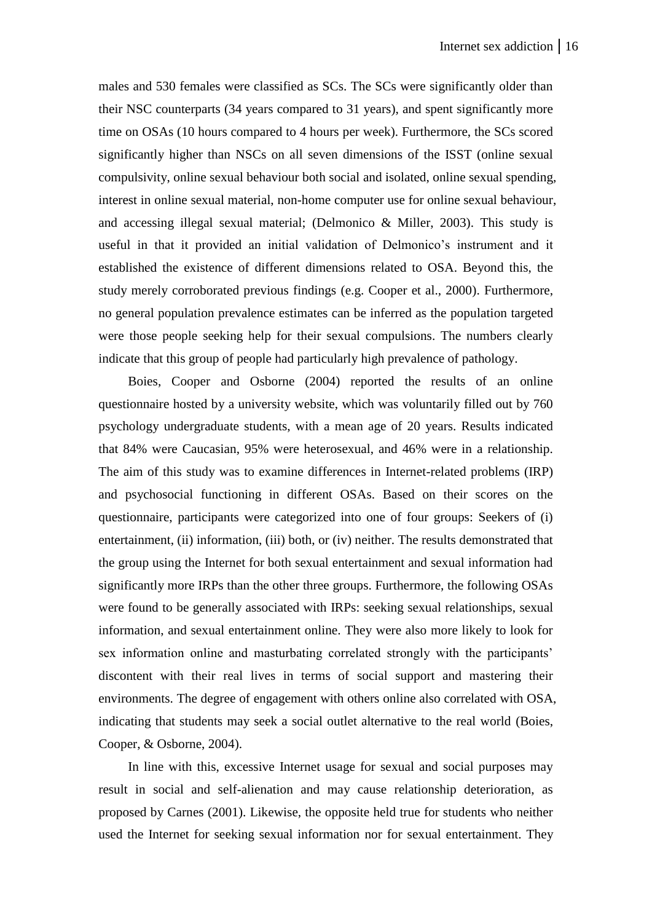males and 530 females were classified as SCs. The SCs were significantly older than their NSC counterparts (34 years compared to 31 years), and spent significantly more time on OSAs (10 hours compared to 4 hours per week). Furthermore, the SCs scored significantly higher than NSCs on all seven dimensions of the ISST (online sexual compulsivity, online sexual behaviour both social and isolated, online sexual spending, interest in online sexual material, non-home computer use for online sexual behaviour, and accessing illegal sexual material; (Delmonico & Miller, 2003). This study is useful in that it provided an initial validation of Delmonico's instrument and it established the existence of different dimensions related to OSA. Beyond this, the study merely corroborated previous findings (e.g. Cooper et al., 2000). Furthermore, no general population prevalence estimates can be inferred as the population targeted were those people seeking help for their sexual compulsions. The numbers clearly indicate that this group of people had particularly high prevalence of pathology.

Boies, Cooper and Osborne (2004) reported the results of an online questionnaire hosted by a university website, which was voluntarily filled out by 760 psychology undergraduate students, with a mean age of 20 years. Results indicated that 84% were Caucasian, 95% were heterosexual, and 46% were in a relationship. The aim of this study was to examine differences in Internet-related problems (IRP) and psychosocial functioning in different OSAs. Based on their scores on the questionnaire, participants were categorized into one of four groups: Seekers of (i) entertainment, (ii) information, (iii) both, or (iv) neither. The results demonstrated that the group using the Internet for both sexual entertainment and sexual information had significantly more IRPs than the other three groups. Furthermore, the following OSAs were found to be generally associated with IRPs: seeking sexual relationships, sexual information, and sexual entertainment online. They were also more likely to look for sex information online and masturbating correlated strongly with the participants' discontent with their real lives in terms of social support and mastering their environments. The degree of engagement with others online also correlated with OSA, indicating that students may seek a social outlet alternative to the real world (Boies, Cooper, & Osborne, 2004).

In line with this, excessive Internet usage for sexual and social purposes may result in social and self-alienation and may cause relationship deterioration, as proposed by Carnes (2001). Likewise, the opposite held true for students who neither used the Internet for seeking sexual information nor for sexual entertainment. They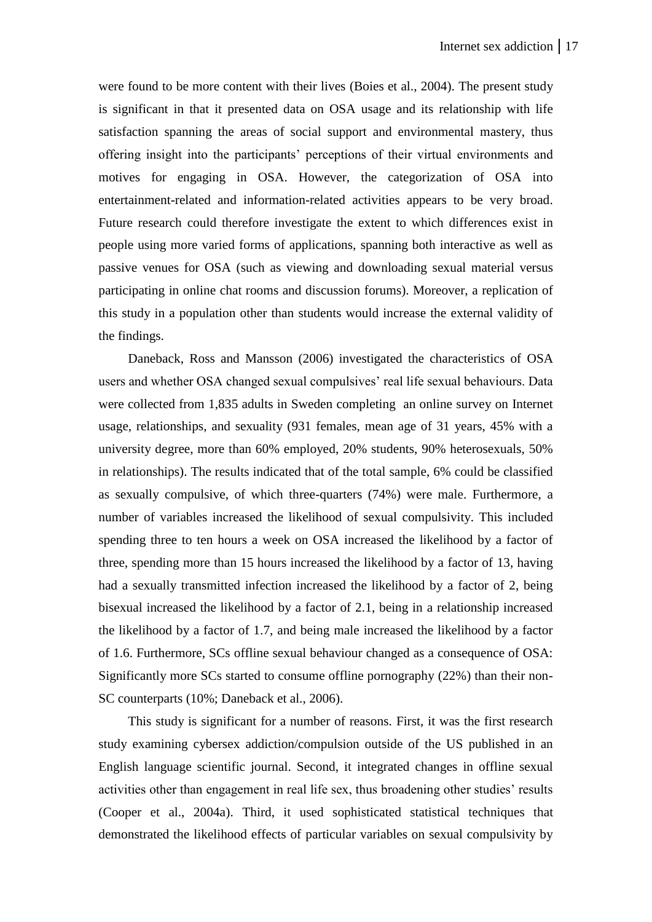were found to be more content with their lives (Boies et al., 2004). The present study is significant in that it presented data on OSA usage and its relationship with life satisfaction spanning the areas of social support and environmental mastery, thus offering insight into the participants' perceptions of their virtual environments and motives for engaging in OSA. However, the categorization of OSA into entertainment-related and information-related activities appears to be very broad. Future research could therefore investigate the extent to which differences exist in people using more varied forms of applications, spanning both interactive as well as passive venues for OSA (such as viewing and downloading sexual material versus participating in online chat rooms and discussion forums). Moreover, a replication of this study in a population other than students would increase the external validity of the findings.

Daneback, Ross and Mansson (2006) investigated the characteristics of OSA users and whether OSA changed sexual compulsives' real life sexual behaviours. Data were collected from 1,835 adults in Sweden completing an online survey on Internet usage, relationships, and sexuality (931 females, mean age of 31 years, 45% with a university degree, more than 60% employed, 20% students, 90% heterosexuals, 50% in relationships). The results indicated that of the total sample, 6% could be classified as sexually compulsive, of which three-quarters (74%) were male. Furthermore, a number of variables increased the likelihood of sexual compulsivity. This included spending three to ten hours a week on OSA increased the likelihood by a factor of three, spending more than 15 hours increased the likelihood by a factor of 13, having had a sexually transmitted infection increased the likelihood by a factor of 2, being bisexual increased the likelihood by a factor of 2.1, being in a relationship increased the likelihood by a factor of 1.7, and being male increased the likelihood by a factor of 1.6. Furthermore, SCs offline sexual behaviour changed as a consequence of OSA: Significantly more SCs started to consume offline pornography (22%) than their non-SC counterparts (10%; Daneback et al., 2006).

This study is significant for a number of reasons. First, it was the first research study examining cybersex addiction/compulsion outside of the US published in an English language scientific journal. Second, it integrated changes in offline sexual activities other than engagement in real life sex, thus broadening other studies' results (Cooper et al., 2004a). Third, it used sophisticated statistical techniques that demonstrated the likelihood effects of particular variables on sexual compulsivity by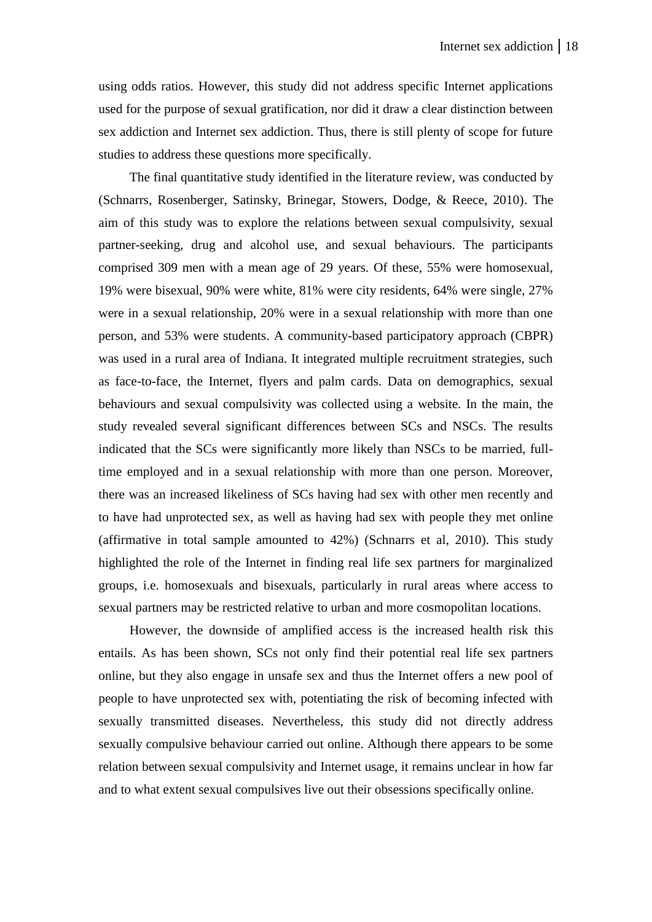using odds ratios. However, this study did not address specific Internet applications used for the purpose of sexual gratification, nor did it draw a clear distinction between sex addiction and Internet sex addiction. Thus, there is still plenty of scope for future studies to address these questions more specifically.

The final quantitative study identified in the literature review, was conducted by (Schnarrs, Rosenberger, Satinsky, Brinegar, Stowers, Dodge, & Reece, 2010). The aim of this study was to explore the relations between sexual compulsivity, sexual partner-seeking, drug and alcohol use, and sexual behaviours. The participants comprised 309 men with a mean age of 29 years. Of these, 55% were homosexual, 19% were bisexual, 90% were white, 81% were city residents, 64% were single, 27% were in a sexual relationship, 20% were in a sexual relationship with more than one person, and 53% were students. A community-based participatory approach (CBPR) was used in a rural area of Indiana. It integrated multiple recruitment strategies, such as face-to-face, the Internet, flyers and palm cards. Data on demographics, sexual behaviours and sexual compulsivity was collected using a website. In the main, the study revealed several significant differences between SCs and NSCs. The results indicated that the SCs were significantly more likely than NSCs to be married, fulltime employed and in a sexual relationship with more than one person. Moreover, there was an increased likeliness of SCs having had sex with other men recently and to have had unprotected sex, as well as having had sex with people they met online (affirmative in total sample amounted to 42%) (Schnarrs et al, 2010). This study highlighted the role of the Internet in finding real life sex partners for marginalized groups, i.e. homosexuals and bisexuals, particularly in rural areas where access to sexual partners may be restricted relative to urban and more cosmopolitan locations.

However, the downside of amplified access is the increased health risk this entails. As has been shown, SCs not only find their potential real life sex partners online, but they also engage in unsafe sex and thus the Internet offers a new pool of people to have unprotected sex with, potentiating the risk of becoming infected with sexually transmitted diseases. Nevertheless, this study did not directly address sexually compulsive behaviour carried out online. Although there appears to be some relation between sexual compulsivity and Internet usage, it remains unclear in how far and to what extent sexual compulsives live out their obsessions specifically online.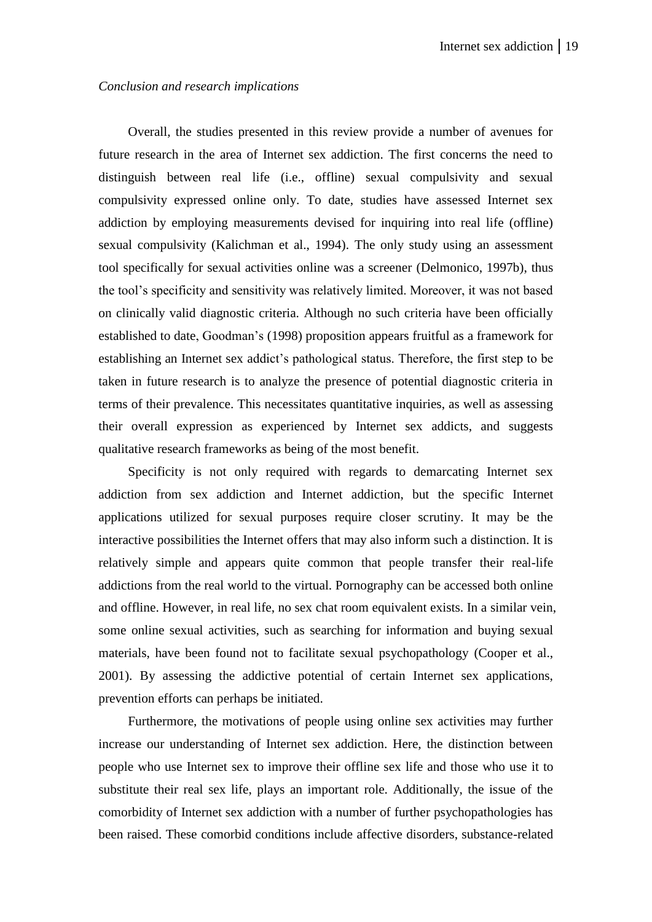## *Conclusion and research implications*

Overall, the studies presented in this review provide a number of avenues for future research in the area of Internet sex addiction. The first concerns the need to distinguish between real life (i.e., offline) sexual compulsivity and sexual compulsivity expressed online only. To date, studies have assessed Internet sex addiction by employing measurements devised for inquiring into real life (offline) sexual compulsivity (Kalichman et al., 1994). The only study using an assessment tool specifically for sexual activities online was a screener (Delmonico, 1997b), thus the tool's specificity and sensitivity was relatively limited. Moreover, it was not based on clinically valid diagnostic criteria. Although no such criteria have been officially established to date, Goodman's (1998) proposition appears fruitful as a framework for establishing an Internet sex addict's pathological status. Therefore, the first step to be taken in future research is to analyze the presence of potential diagnostic criteria in terms of their prevalence. This necessitates quantitative inquiries, as well as assessing their overall expression as experienced by Internet sex addicts, and suggests qualitative research frameworks as being of the most benefit.

Specificity is not only required with regards to demarcating Internet sex addiction from sex addiction and Internet addiction, but the specific Internet applications utilized for sexual purposes require closer scrutiny. It may be the interactive possibilities the Internet offers that may also inform such a distinction. It is relatively simple and appears quite common that people transfer their real-life addictions from the real world to the virtual. Pornography can be accessed both online and offline. However, in real life, no sex chat room equivalent exists. In a similar vein, some online sexual activities, such as searching for information and buying sexual materials, have been found not to facilitate sexual psychopathology (Cooper et al., 2001). By assessing the addictive potential of certain Internet sex applications, prevention efforts can perhaps be initiated.

Furthermore, the motivations of people using online sex activities may further increase our understanding of Internet sex addiction. Here, the distinction between people who use Internet sex to improve their offline sex life and those who use it to substitute their real sex life, plays an important role. Additionally, the issue of the comorbidity of Internet sex addiction with a number of further psychopathologies has been raised. These comorbid conditions include affective disorders, substance-related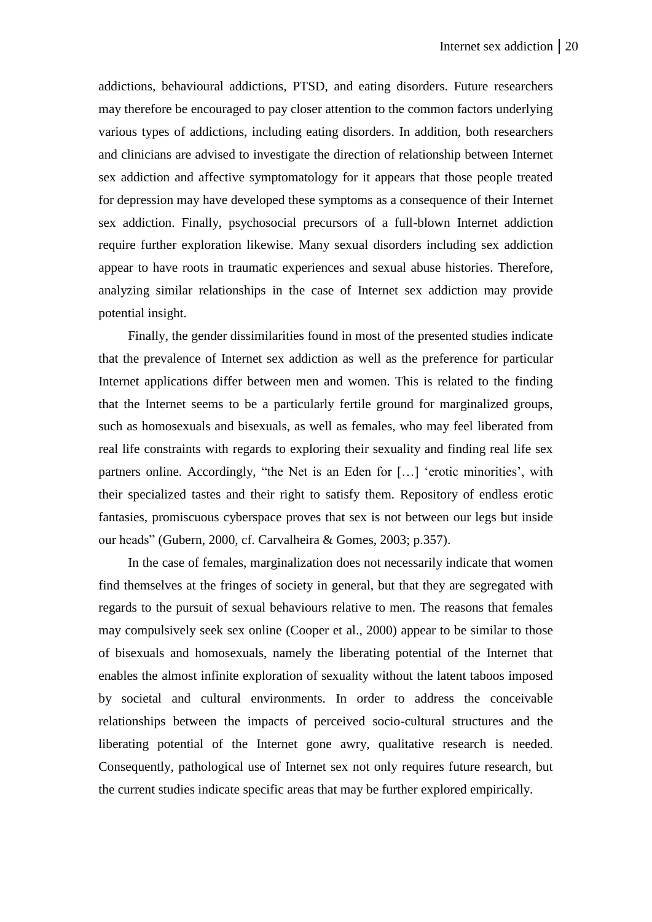addictions, behavioural addictions, PTSD, and eating disorders. Future researchers may therefore be encouraged to pay closer attention to the common factors underlying various types of addictions, including eating disorders. In addition, both researchers and clinicians are advised to investigate the direction of relationship between Internet sex addiction and affective symptomatology for it appears that those people treated for depression may have developed these symptoms as a consequence of their Internet sex addiction. Finally, psychosocial precursors of a full-blown Internet addiction require further exploration likewise. Many sexual disorders including sex addiction appear to have roots in traumatic experiences and sexual abuse histories. Therefore, analyzing similar relationships in the case of Internet sex addiction may provide potential insight.

Finally, the gender dissimilarities found in most of the presented studies indicate that the prevalence of Internet sex addiction as well as the preference for particular Internet applications differ between men and women. This is related to the finding that the Internet seems to be a particularly fertile ground for marginalized groups, such as homosexuals and bisexuals, as well as females, who may feel liberated from real life constraints with regards to exploring their sexuality and finding real life sex partners online. Accordingly, "the Net is an Eden for […] 'erotic minorities', with their specialized tastes and their right to satisfy them. Repository of endless erotic fantasies, promiscuous cyberspace proves that sex is not between our legs but inside our heads" (Gubern, 2000, cf. Carvalheira & Gomes, 2003; p.357).

In the case of females, marginalization does not necessarily indicate that women find themselves at the fringes of society in general, but that they are segregated with regards to the pursuit of sexual behaviours relative to men. The reasons that females may compulsively seek sex online (Cooper et al., 2000) appear to be similar to those of bisexuals and homosexuals, namely the liberating potential of the Internet that enables the almost infinite exploration of sexuality without the latent taboos imposed by societal and cultural environments. In order to address the conceivable relationships between the impacts of perceived socio-cultural structures and the liberating potential of the Internet gone awry, qualitative research is needed. Consequently, pathological use of Internet sex not only requires future research, but the current studies indicate specific areas that may be further explored empirically.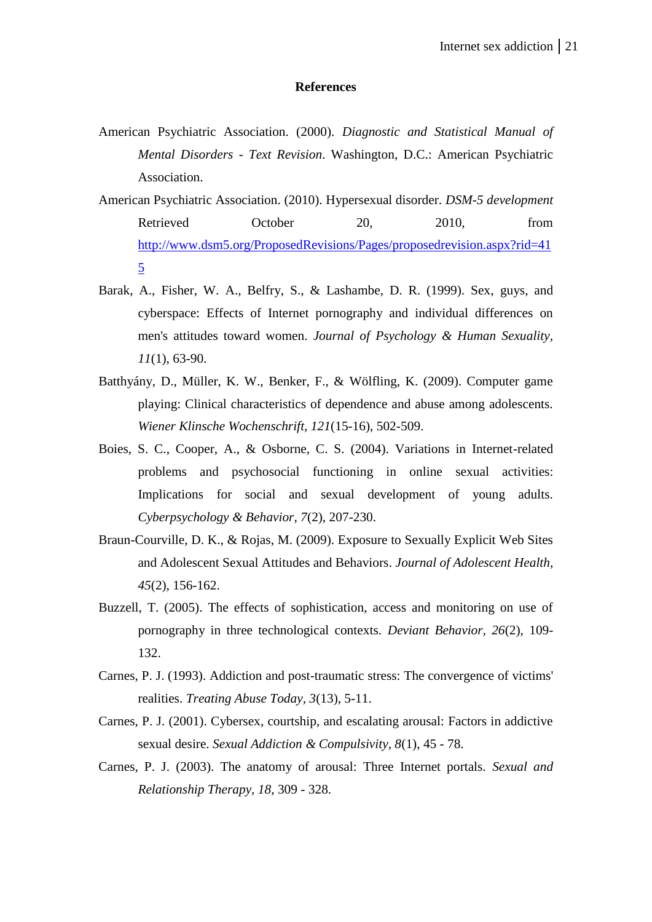#### **References**

- American Psychiatric Association. (2000). *Diagnostic and Statistical Manual of Mental Disorders - Text Revision*. Washington, D.C.: American Psychiatric Association.
- American Psychiatric Association. (2010). Hypersexual disorder. *DSM-5 development* Retrieved October 20, 2010, from [http://www.dsm5.org/ProposedRevisions/Pages/proposedrevision.aspx?rid=41](http://www.dsm5.org/ProposedRevisions/Pages/proposedrevision.aspx?rid=415) [5](http://www.dsm5.org/ProposedRevisions/Pages/proposedrevision.aspx?rid=415)
- Barak, A., Fisher, W. A., Belfry, S., & Lashambe, D. R. (1999). Sex, guys, and cyberspace: Effects of Internet pornography and individual differences on men's attitudes toward women. *Journal of Psychology & Human Sexuality, 11*(1), 63-90.
- Batthyány, D., Müller, K. W., Benker, F., & Wölfling, K. (2009). Computer game playing: Clinical characteristics of dependence and abuse among adolescents. *Wiener Klinsche Wochenschrift, 121*(15-16), 502-509.
- Boies, S. C., Cooper, A., & Osborne, C. S. (2004). Variations in Internet-related problems and psychosocial functioning in online sexual activities: Implications for social and sexual development of young adults. *Cyberpsychology & Behavior, 7*(2), 207-230.
- Braun-Courville, D. K., & Rojas, M. (2009). Exposure to Sexually Explicit Web Sites and Adolescent Sexual Attitudes and Behaviors. *Journal of Adolescent Health, 45*(2), 156-162.
- Buzzell, T. (2005). The effects of sophistication, access and monitoring on use of pornography in three technological contexts. *Deviant Behavior, 26*(2), 109- 132.
- Carnes, P. J. (1993). Addiction and post-traumatic stress: The convergence of victims' realities. *Treating Abuse Today, 3*(13), 5-11.
- Carnes, P. J. (2001). Cybersex, courtship, and escalating arousal: Factors in addictive sexual desire. *Sexual Addiction & Compulsivity, 8*(1), 45 - 78.
- Carnes, P. J. (2003). The anatomy of arousal: Three Internet portals. *Sexual and Relationship Therapy, 18*, 309 - 328.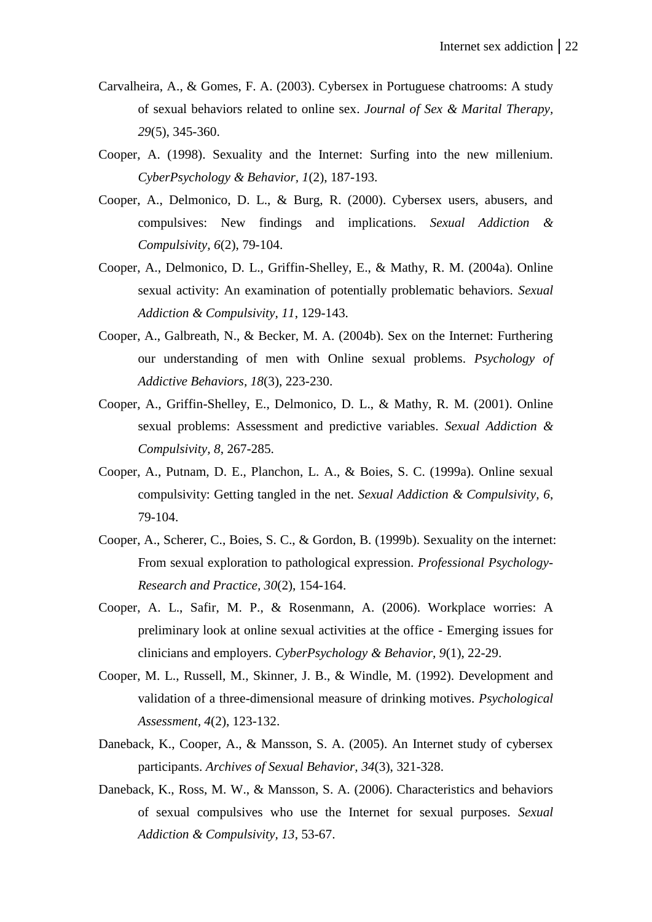- Carvalheira, A., & Gomes, F. A. (2003). Cybersex in Portuguese chatrooms: A study of sexual behaviors related to online sex. *Journal of Sex & Marital Therapy, 29*(5), 345-360.
- Cooper, A. (1998). Sexuality and the Internet: Surfing into the new millenium. *CyberPsychology & Behavior, 1*(2), 187-193.
- Cooper, A., Delmonico, D. L., & Burg, R. (2000). Cybersex users, abusers, and compulsives: New findings and implications. *Sexual Addiction & Compulsivity, 6*(2), 79-104.
- Cooper, A., Delmonico, D. L., Griffin-Shelley, E., & Mathy, R. M. (2004a). Online sexual activity: An examination of potentially problematic behaviors. *Sexual Addiction & Compulsivity, 11*, 129-143.
- Cooper, A., Galbreath, N., & Becker, M. A. (2004b). Sex on the Internet: Furthering our understanding of men with Online sexual problems. *Psychology of Addictive Behaviors, 18*(3), 223-230.
- Cooper, A., Griffin-Shelley, E., Delmonico, D. L., & Mathy, R. M. (2001). Online sexual problems: Assessment and predictive variables. *Sexual Addiction & Compulsivity, 8*, 267-285.
- Cooper, A., Putnam, D. E., Planchon, L. A., & Boies, S. C. (1999a). Online sexual compulsivity: Getting tangled in the net. *Sexual Addiction & Compulsivity, 6*, 79-104.
- Cooper, A., Scherer, C., Boies, S. C., & Gordon, B. (1999b). Sexuality on the internet: From sexual exploration to pathological expression. *Professional Psychology-Research and Practice, 30*(2), 154-164.
- Cooper, A. L., Safir, M. P., & Rosenmann, A. (2006). Workplace worries: A preliminary look at online sexual activities at the office - Emerging issues for clinicians and employers. *CyberPsychology & Behavior, 9*(1), 22-29.
- Cooper, M. L., Russell, M., Skinner, J. B., & Windle, M. (1992). Development and validation of a three-dimensional measure of drinking motives. *Psychological Assessment, 4*(2), 123-132.
- Daneback, K., Cooper, A., & Mansson, S. A. (2005). An Internet study of cybersex participants. *Archives of Sexual Behavior, 34*(3), 321-328.
- Daneback, K., Ross, M. W., & Mansson, S. A. (2006). Characteristics and behaviors of sexual compulsives who use the Internet for sexual purposes. *Sexual Addiction & Compulsivity, 13*, 53-67.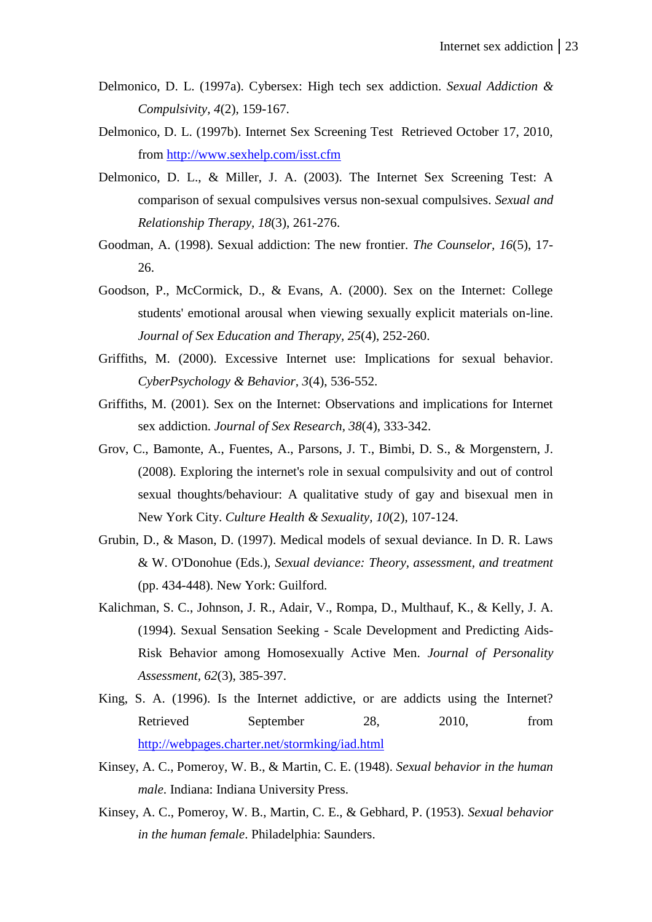- Delmonico, D. L. (1997a). Cybersex: High tech sex addiction. *Sexual Addiction & Compulsivity, 4*(2), 159-167.
- Delmonico, D. L. (1997b). Internet Sex Screening Test Retrieved October 17, 2010, from<http://www.sexhelp.com/isst.cfm>
- Delmonico, D. L., & Miller, J. A. (2003). The Internet Sex Screening Test: A comparison of sexual compulsives versus non-sexual compulsives. *Sexual and Relationship Therapy, 18*(3), 261-276.
- Goodman, A. (1998). Sexual addiction: The new frontier. *The Counselor, 16*(5), 17- 26.
- Goodson, P., McCormick, D., & Evans, A. (2000). Sex on the Internet: College students' emotional arousal when viewing sexually explicit materials on-line. *Journal of Sex Education and Therapy, 25*(4), 252-260.
- Griffiths, M. (2000). Excessive Internet use: Implications for sexual behavior. *CyberPsychology & Behavior, 3*(4), 536-552.
- Griffiths, M. (2001). Sex on the Internet: Observations and implications for Internet sex addiction. *Journal of Sex Research, 38*(4), 333-342.
- Grov, C., Bamonte, A., Fuentes, A., Parsons, J. T., Bimbi, D. S., & Morgenstern, J. (2008). Exploring the internet's role in sexual compulsivity and out of control sexual thoughts/behaviour: A qualitative study of gay and bisexual men in New York City. *Culture Health & Sexuality, 10*(2), 107-124.
- Grubin, D., & Mason, D. (1997). Medical models of sexual deviance. In D. R. Laws & W. O'Donohue (Eds.), *Sexual deviance: Theory, assessment, and treatment* (pp. 434-448). New York: Guilford.
- Kalichman, S. C., Johnson, J. R., Adair, V., Rompa, D., Multhauf, K., & Kelly, J. A. (1994). Sexual Sensation Seeking - Scale Development and Predicting Aids-Risk Behavior among Homosexually Active Men. *Journal of Personality Assessment, 62*(3), 385-397.
- King, S. A. (1996). Is the Internet addictive, or are addicts using the Internet? Retrieved September 28, 2010, from <http://webpages.charter.net/stormking/iad.html>
- Kinsey, A. C., Pomeroy, W. B., & Martin, C. E. (1948). *Sexual behavior in the human male*. Indiana: Indiana University Press.
- Kinsey, A. C., Pomeroy, W. B., Martin, C. E., & Gebhard, P. (1953). *Sexual behavior in the human female*. Philadelphia: Saunders.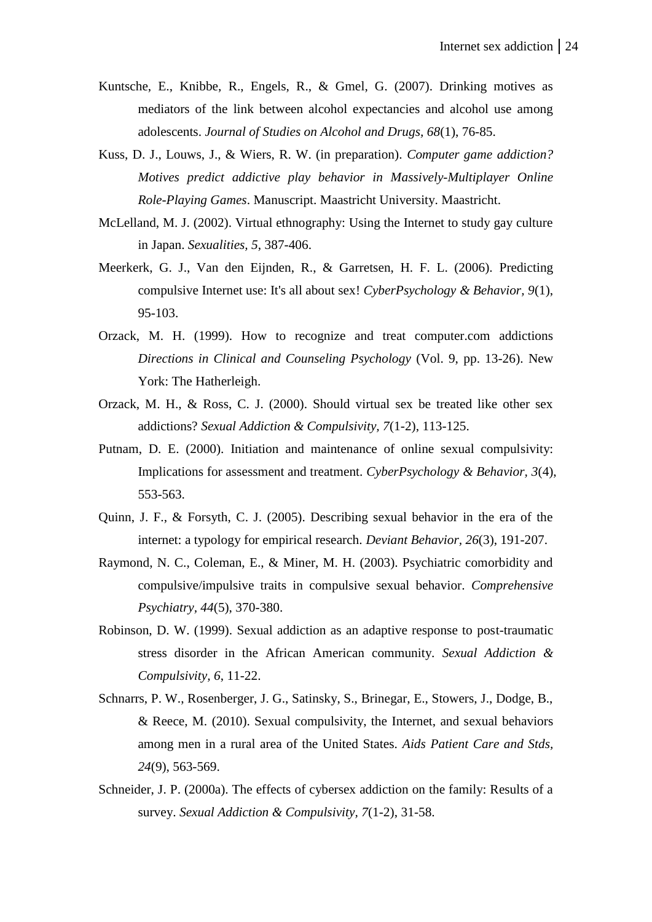- Kuntsche, E., Knibbe, R., Engels, R., & Gmel, G. (2007). Drinking motives as mediators of the link between alcohol expectancies and alcohol use among adolescents. *Journal of Studies on Alcohol and Drugs, 68*(1), 76-85.
- Kuss, D. J., Louws, J., & Wiers, R. W. (in preparation). *Computer game addiction? Motives predict addictive play behavior in Massively-Multiplayer Online Role-Playing Games*. Manuscript. Maastricht University. Maastricht.
- McLelland, M. J. (2002). Virtual ethnography: Using the Internet to study gay culture in Japan. *Sexualities, 5*, 387-406.
- Meerkerk, G. J., Van den Eijnden, R., & Garretsen, H. F. L. (2006). Predicting compulsive Internet use: It's all about sex! *CyberPsychology & Behavior, 9*(1), 95-103.
- Orzack, M. H. (1999). How to recognize and treat computer.com addictions *Directions in Clinical and Counseling Psychology* (Vol. 9, pp. 13-26). New York: The Hatherleigh.
- Orzack, M. H., & Ross, C. J. (2000). Should virtual sex be treated like other sex addictions? *Sexual Addiction & Compulsivity, 7*(1-2), 113-125.
- Putnam, D. E. (2000). Initiation and maintenance of online sexual compulsivity: Implications for assessment and treatment. *CyberPsychology & Behavior, 3*(4), 553-563.
- Quinn, J. F., & Forsyth, C. J. (2005). Describing sexual behavior in the era of the internet: a typology for empirical research. *Deviant Behavior, 26*(3), 191-207.
- Raymond, N. C., Coleman, E., & Miner, M. H. (2003). Psychiatric comorbidity and compulsive/impulsive traits in compulsive sexual behavior. *Comprehensive Psychiatry, 44*(5), 370-380.
- Robinson, D. W. (1999). Sexual addiction as an adaptive response to post-traumatic stress disorder in the African American community. *Sexual Addiction & Compulsivity, 6*, 11-22.
- Schnarrs, P. W., Rosenberger, J. G., Satinsky, S., Brinegar, E., Stowers, J., Dodge, B., & Reece, M. (2010). Sexual compulsivity, the Internet, and sexual behaviors among men in a rural area of the United States. *Aids Patient Care and Stds, 24*(9), 563-569.
- Schneider, J. P. (2000a). The effects of cybersex addiction on the family: Results of a survey. *Sexual Addiction & Compulsivity, 7*(1-2), 31-58.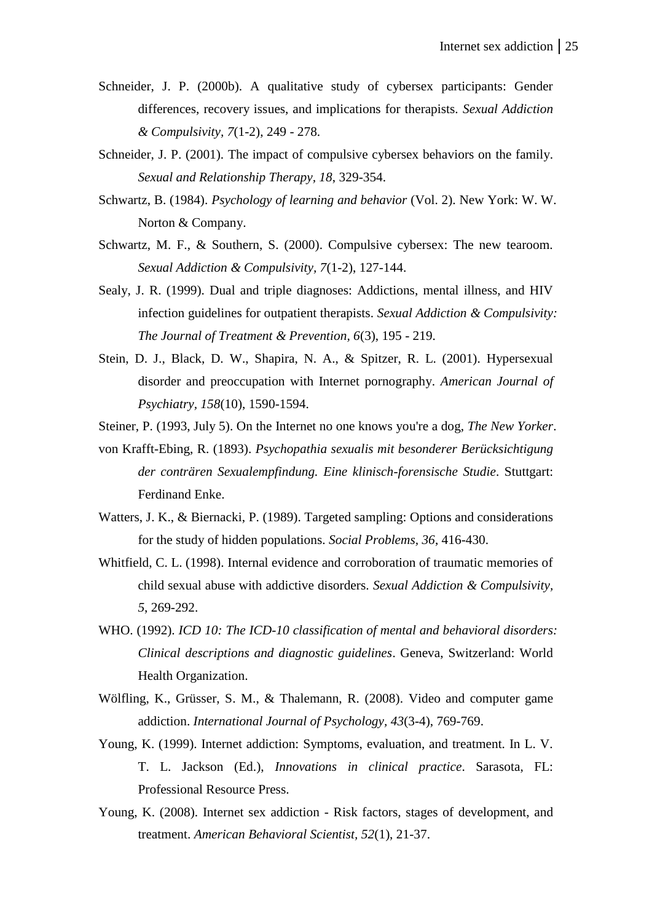- Schneider, J. P. (2000b). A qualitative study of cybersex participants: Gender differences, recovery issues, and implications for therapists. *Sexual Addiction & Compulsivity, 7*(1-2), 249 - 278.
- Schneider, J. P. (2001). The impact of compulsive cybersex behaviors on the family. *Sexual and Relationship Therapy, 18*, 329-354.
- Schwartz, B. (1984). *Psychology of learning and behavior* (Vol. 2). New York: W. W. Norton & Company.
- Schwartz, M. F., & Southern, S. (2000). Compulsive cybersex: The new tearoom. *Sexual Addiction & Compulsivity, 7*(1-2), 127-144.
- Sealy, J. R. (1999). Dual and triple diagnoses: Addictions, mental illness, and HIV infection guidelines for outpatient therapists. *Sexual Addiction & Compulsivity: The Journal of Treatment & Prevention, 6*(3), 195 - 219.
- Stein, D. J., Black, D. W., Shapira, N. A., & Spitzer, R. L. (2001). Hypersexual disorder and preoccupation with Internet pornography. *American Journal of Psychiatry, 158*(10), 1590-1594.
- Steiner, P. (1993, July 5). On the Internet no one knows you're a dog, *The New Yorker*.
- von Krafft-Ebing, R. (1893). *Psychopathia sexualis mit besonderer Berücksichtigung der conträren Sexualempfindung. Eine klinisch-forensische Studie*. Stuttgart: Ferdinand Enke.
- Watters, J. K., & Biernacki, P. (1989). Targeted sampling: Options and considerations for the study of hidden populations. *Social Problems, 36*, 416-430.
- Whitfield, C. L. (1998). Internal evidence and corroboration of traumatic memories of child sexual abuse with addictive disorders. *Sexual Addiction & Compulsivity, 5*, 269-292.
- WHO. (1992). *ICD 10: The ICD-10 classification of mental and behavioral disorders: Clinical descriptions and diagnostic guidelines*. Geneva, Switzerland: World Health Organization.
- Wölfling, K., Grüsser, S. M., & Thalemann, R. (2008). Video and computer game addiction. *International Journal of Psychology, 43*(3-4), 769-769.
- Young, K. (1999). Internet addiction: Symptoms, evaluation, and treatment. In L. V. T. L. Jackson (Ed.), *Innovations in clinical practice*. Sarasota, FL: Professional Resource Press.
- Young, K. (2008). Internet sex addiction Risk factors, stages of development, and treatment. *American Behavioral Scientist, 52*(1), 21-37.